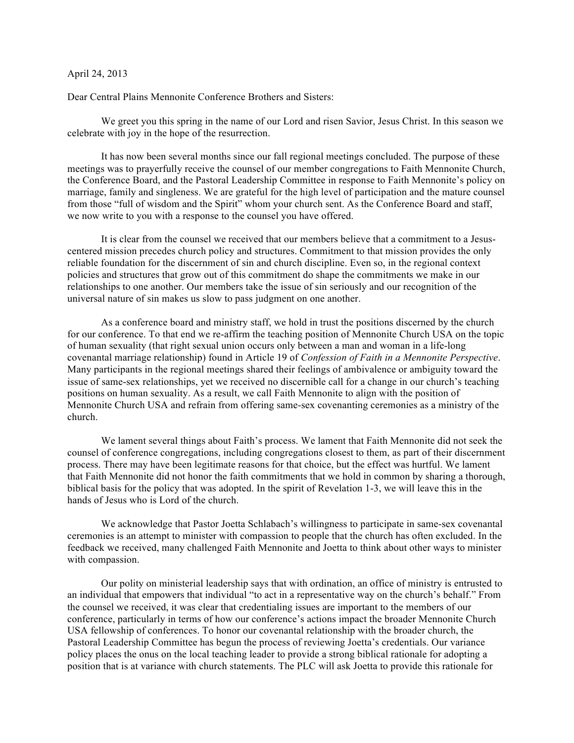## April 24, 2013

Dear Central Plains Mennonite Conference Brothers and Sisters:

We greet you this spring in the name of our Lord and risen Savior, Jesus Christ. In this season we celebrate with joy in the hope of the resurrection.

It has now been several months since our fall regional meetings concluded. The purpose of these meetings was to prayerfully receive the counsel of our member congregations to Faith Mennonite Church, the Conference Board, and the Pastoral Leadership Committee in response to Faith Mennonite's policy on marriage, family and singleness. We are grateful for the high level of participation and the mature counsel from those "full of wisdom and the Spirit" whom your church sent. As the Conference Board and staff, we now write to you with a response to the counsel you have offered.

It is clear from the counsel we received that our members believe that a commitment to a Jesuscentered mission precedes church policy and structures. Commitment to that mission provides the only reliable foundation for the discernment of sin and church discipline. Even so, in the regional context policies and structures that grow out of this commitment do shape the commitments we make in our relationships to one another. Our members take the issue of sin seriously and our recognition of the universal nature of sin makes us slow to pass judgment on one another.

As a conference board and ministry staff, we hold in trust the positions discerned by the church for our conference. To that end we re-affirm the teaching position of Mennonite Church USA on the topic of human sexuality (that right sexual union occurs only between a man and woman in a life-long covenantal marriage relationship) found in Article 19 of *Confession of Faith in a Mennonite Perspective*. Many participants in the regional meetings shared their feelings of ambivalence or ambiguity toward the issue of same-sex relationships, yet we received no discernible call for a change in our church's teaching positions on human sexuality. As a result, we call Faith Mennonite to align with the position of Mennonite Church USA and refrain from offering same-sex covenanting ceremonies as a ministry of the church.

We lament several things about Faith's process. We lament that Faith Mennonite did not seek the counsel of conference congregations, including congregations closest to them, as part of their discernment process. There may have been legitimate reasons for that choice, but the effect was hurtful. We lament that Faith Mennonite did not honor the faith commitments that we hold in common by sharing a thorough, biblical basis for the policy that was adopted. In the spirit of Revelation 1-3, we will leave this in the hands of Jesus who is Lord of the church.

We acknowledge that Pastor Joetta Schlabach's willingness to participate in same-sex covenantal ceremonies is an attempt to minister with compassion to people that the church has often excluded. In the feedback we received, many challenged Faith Mennonite and Joetta to think about other ways to minister with compassion.

Our polity on ministerial leadership says that with ordination, an office of ministry is entrusted to an individual that empowers that individual "to act in a representative way on the church's behalf." From the counsel we received, it was clear that credentialing issues are important to the members of our conference, particularly in terms of how our conference's actions impact the broader Mennonite Church USA fellowship of conferences. To honor our covenantal relationship with the broader church, the Pastoral Leadership Committee has begun the process of reviewing Joetta's credentials. Our variance policy places the onus on the local teaching leader to provide a strong biblical rationale for adopting a position that is at variance with church statements. The PLC will ask Joetta to provide this rationale for